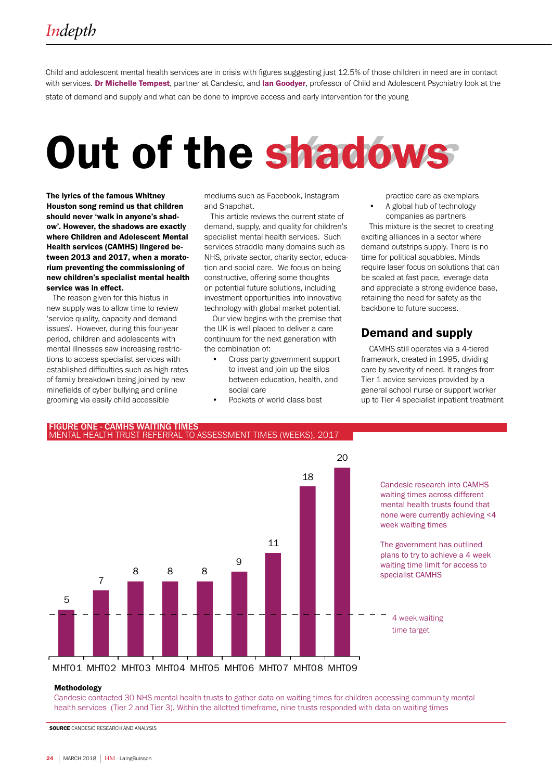Child and adolescent mental health services are in crisis with figures suggesting just 12.5% of those children in need are in contact with services. Dr Michelle Tempest, partner at Candesic, and lan Goodyer, professor of Child and Adolescent Psychiatry look at the state of demand and supply and what can be done to improve access and early intervention for the young

# Out of the shadows

The lyrics of the famous Whitney Houston song remind us that children should never 'walk in anyone's shadow'. However, the shadows are exactly where Children and Adolescent Mental Health services (CAMHS) lingered between 2013 and 2017, when a moratorium preventing the commissioning of new children's specialist mental health service was in effect.

 The reason given for this hiatus in new supply was to allow time to review 'service quality, capacity and demand issues'. However, during this four-year period, children and adolescents with mental illnesses saw increasing restrictions to access specialist services with established difficulties such as high rates of family breakdown being joined by new minefields of cyber bullying and online grooming via easily child accessible

mediums such as Facebook, Instagram and Snapchat.

 This article reviews the current state of demand, supply, and quality for children's specialist mental health services. Such services straddle many domains such as NHS, private sector, charity sector, education and social care. We focus on being constructive, offering some thoughts on potential future solutions, including investment opportunities into innovative technology with global market potential.

 Our view begins with the premise that the UK is well placed to deliver a care continuum for the next generation with the combination of:

- Cross party government support to invest and join up the silos between education, health, and social care
- Pockets of world class best

practice care as exemplars • A global hub of technology companies as partners

This mixture is the secret to creating exciting alliances in a sector where demand outstrips supply. There is no time for political squabbles. Minds require laser focus on solutions that can be scaled at fast pace, leverage data and appreciate a strong evidence base, retaining the need for safety as the backbone to future success.

## Demand and supply

CAMHS still operates via a 4-tiered framework, created in 1995, dividing care by severity of need. It ranges from Tier 1 advice services provided by a general school nurse or support worker up to Tier 4 specialist inpatient treatment



#### Methodology

Candesic contacted 30 NHS mental health trusts to gather data on waiting times for children accessing community mental health services (Tier 2 and Tier 3). Within the allotted timeframe, nine trusts responded with data on waiting times

SOURCE CANDESIC RESEARCH AND ANALYSIS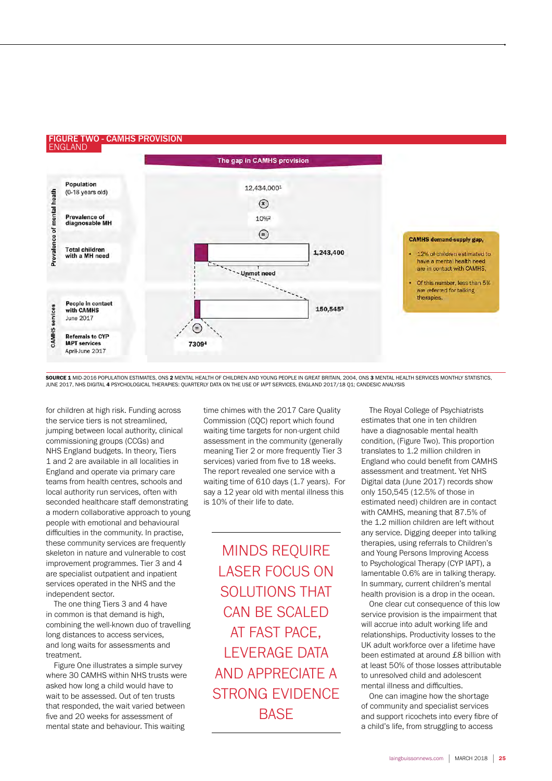#### FIGURE TWO - CAMHS PROVISION ENGLAND



SOURCE 1 MID-2016 POPULATION ESTIMATES, ONS 2 MENTAL HEALTH OF CHILDREN AND YOUNG PEOPLE IN GREAT BRITAIN, 2004, ONS 3 MENTAL HEALTH SERVICES MONTHLY STATISTICS, JUNE 2017, NHS DIGITAL 4 PSYCHOLOGICAL THERAPIES: QUARTERLY DATA ON THE USE OF IAPT SERVICES, ENGLAND 2017/18 Q1; CANDESIC ANALYSIS

for children at high risk. Funding across the service tiers is not streamlined, jumping between local authority, clinical commissioning groups (CCGs) and NHS England budgets. In theory, Tiers 1 and 2 are available in all localities in England and operate via primary care teams from health centres, schools and local authority run services, often with seconded healthcare staff demonstrating a modern collaborative approach to young people with emotional and behavioural difficulties in the community. In practise, these community services are frequently skeleton in nature and vulnerable to cost improvement programmes. Tier 3 and 4 are specialist outpatient and inpatient services operated in the NHS and the independent sector.

The one thing Tiers 3 and 4 have in common is that demand is high, combining the well-known duo of travelling long distances to access services, and long waits for assessments and treatment.

Figure One illustrates a simple survey where 30 CAMHS within NHS trusts were asked how long a child would have to wait to be assessed. Out of ten trusts that responded, the wait varied between five and 20 weeks for assessment of mental state and behaviour. This waiting

time chimes with the 2017 Care Quality Commission (CQC) report which found waiting time targets for non-urgent child assessment in the community (generally meaning Tier 2 or more frequently Tier 3 services) varied from five to 18 weeks. The report revealed one service with a waiting time of 610 days (1.7 years). For say a 12 year old with mental illness this is 10% of their life to date.

MINDS REQUIRE LASER FOCUS ON SOLUTIONS THAT CAN BE SCALED AT FAST PACE, LEVERAGE DATA AND APPRECIATE A STRONG EVIDENCE **BASE** 

The Royal College of Psychiatrists estimates that one in ten children have a diagnosable mental health condition, (Figure Two). This proportion translates to 1.2 million children in England who could benefit from CAMHS assessment and treatment. Yet NHS Digital data (June 2017) records show only 150,545 (12.5% of those in estimated need) children are in contact with CAMHS, meaning that 87.5% of the 1.2 million children are left without any service. Digging deeper into talking therapies, using referrals to Children's and Young Persons Improving Access to Psychological Therapy (CYP IAPT), a lamentable 0.6% are in talking therapy. In summary, current children's mental health provision is a drop in the ocean.

One clear cut consequence of this low service provision is the impairment that will accrue into adult working life and relationships. Productivity losses to the UK adult workforce over a lifetime have been estimated at around £8 billion with at least 50% of those losses attributable to unresolved child and adolescent mental illness and difficulties.

One can imagine how the shortage of community and specialist services and support ricochets into every fibre of a child's life, from struggling to access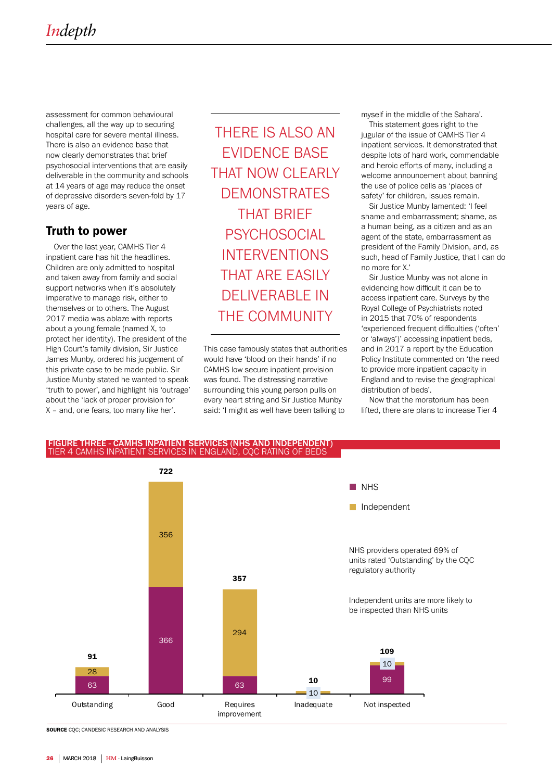assessment for common behavioural challenges, all the way up to securing hospital care for severe mental illness. There is also an evidence base that now clearly demonstrates that brief psychosocial interventions that are easily deliverable in the community and schools at 14 years of age may reduce the onset of depressive disorders seven-fold by 17 years of age.

## Truth to power

Over the last year, CAMHS Tier 4 inpatient care has hit the headlines. Children are only admitted to hospital and taken away from family and social support networks when it's absolutely imperative to manage risk, either to themselves or to others. The August 2017 media was ablaze with reports about a young female (named X, to protect her identity). The president of the High Court's family division, Sir Justice James Munby, ordered his judgement of this private case to be made public. Sir Justice Munby stated he wanted to speak 'truth to power', and highlight his 'outrage' about the 'lack of proper provision for X – and, one fears, too many like her'.

THERE IS ALSO AN EVIDENCE BASE THAT NOW CLEARLY DEMONSTRATES THAT BRIEF **PSYCHOSOCIAL** INTERVENTIONS THAT ARE EASILY DELIVERABLE IN THE COMMUNITY

This case famously states that authorities would have 'blood on their hands' if no CAMHS low secure inpatient provision was found. The distressing narrative surrounding this young person pulls on every heart string and Sir Justice Munby said: 'I might as well have been talking to

myself in the middle of the Sahara'.

This statement goes right to the jugular of the issue of CAMHS Tier 4 inpatient services. It demonstrated that despite lots of hard work, commendable and heroic efforts of many, including a welcome announcement about banning the use of police cells as 'places of safety' for children, issues remain.

Sir Justice Munby lamented: 'I feel shame and embarrassment; shame, as a human being, as a citizen and as an agent of the state, embarrassment as president of the Family Division, and, as such, head of Family Justice, that I can do no more for X.'

Sir Justice Munby was not alone in evidencing how difficult it can be to access inpatient care. Surveys by the Royal College of Psychiatrists noted in 2015 that 70% of respondents 'experienced frequent difficulties ('often' or 'always')' accessing inpatient beds, and in 2017 a report by the Education Policy Institute commented on 'the need to provide more inpatient capacity in England and to revise the geographical distribution of beds'.

Now that the moratorium has been lifted, there are plans to increase Tier 4





SOURCE CQC; CANDESIC RESEARCH AND ANALYSIS